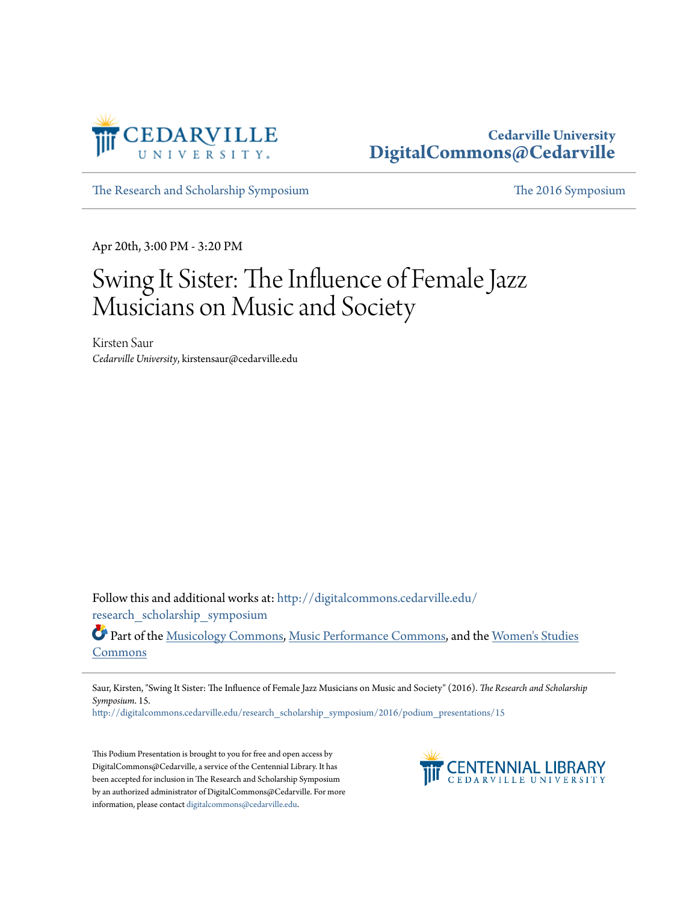

## **Cedarville University [DigitalCommons@Cedarville](http://digitalcommons.cedarville.edu?utm_source=digitalcommons.cedarville.edu%2Fresearch_scholarship_symposium%2F2016%2Fpodium_presentations%2F15&utm_medium=PDF&utm_campaign=PDFCoverPages)**

[The Research and Scholarship Symposium](http://digitalcommons.cedarville.edu/research_scholarship_symposium?utm_source=digitalcommons.cedarville.edu%2Fresearch_scholarship_symposium%2F2016%2Fpodium_presentations%2F15&utm_medium=PDF&utm_campaign=PDFCoverPages) [The 2016 Symposium](http://digitalcommons.cedarville.edu/research_scholarship_symposium/2016?utm_source=digitalcommons.cedarville.edu%2Fresearch_scholarship_symposium%2F2016%2Fpodium_presentations%2F15&utm_medium=PDF&utm_campaign=PDFCoverPages)

Apr 20th, 3:00 PM - 3:20 PM

## Swing It Sister: The Influence of Female Jazz Musicians on Music and Society

Kirsten Saur *Cedarville University*, kirstensaur@cedarville.edu

Follow this and additional works at: [http://digitalcommons.cedarville.edu/](http://digitalcommons.cedarville.edu/research_scholarship_symposium?utm_source=digitalcommons.cedarville.edu%2Fresearch_scholarship_symposium%2F2016%2Fpodium_presentations%2F15&utm_medium=PDF&utm_campaign=PDFCoverPages) [research\\_scholarship\\_symposium](http://digitalcommons.cedarville.edu/research_scholarship_symposium?utm_source=digitalcommons.cedarville.edu%2Fresearch_scholarship_symposium%2F2016%2Fpodium_presentations%2F15&utm_medium=PDF&utm_campaign=PDFCoverPages)

Part of the [Musicology Commons,](http://network.bepress.com/hgg/discipline/521?utm_source=digitalcommons.cedarville.edu%2Fresearch_scholarship_symposium%2F2016%2Fpodium_presentations%2F15&utm_medium=PDF&utm_campaign=PDFCoverPages) [Music Performance Commons](http://network.bepress.com/hgg/discipline/1128?utm_source=digitalcommons.cedarville.edu%2Fresearch_scholarship_symposium%2F2016%2Fpodium_presentations%2F15&utm_medium=PDF&utm_campaign=PDFCoverPages), and the [Women's Studies](http://network.bepress.com/hgg/discipline/561?utm_source=digitalcommons.cedarville.edu%2Fresearch_scholarship_symposium%2F2016%2Fpodium_presentations%2F15&utm_medium=PDF&utm_campaign=PDFCoverPages) [Commons](http://network.bepress.com/hgg/discipline/561?utm_source=digitalcommons.cedarville.edu%2Fresearch_scholarship_symposium%2F2016%2Fpodium_presentations%2F15&utm_medium=PDF&utm_campaign=PDFCoverPages)

Saur, Kirsten, "Swing It Sister: The Influence of Female Jazz Musicians on Music and Society" (2016). *The Research and Scholarship Symposium*. 15.

[http://digitalcommons.cedarville.edu/research\\_scholarship\\_symposium/2016/podium\\_presentations/15](http://digitalcommons.cedarville.edu/research_scholarship_symposium/2016/podium_presentations/15?utm_source=digitalcommons.cedarville.edu%2Fresearch_scholarship_symposium%2F2016%2Fpodium_presentations%2F15&utm_medium=PDF&utm_campaign=PDFCoverPages)

This Podium Presentation is brought to you for free and open access by DigitalCommons@Cedarville, a service of the Centennial Library. It has been accepted for inclusion in The Research and Scholarship Symposium by an authorized administrator of DigitalCommons@Cedarville. For more information, please contact [digitalcommons@cedarville.edu.](mailto:digitalcommons@cedarville.edu)

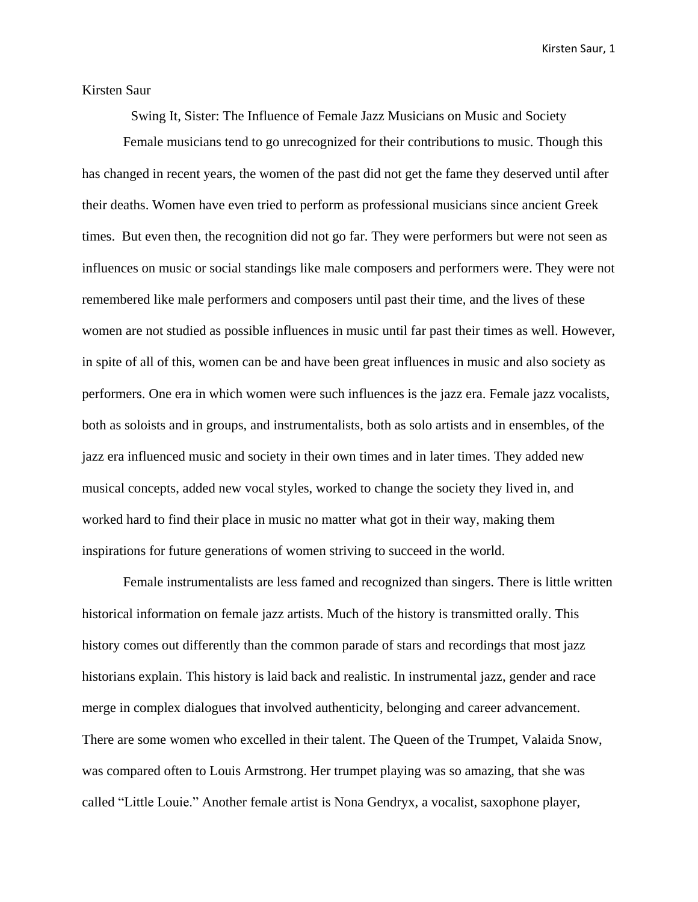## Kirsten Saur

Swing It, Sister: The Influence of Female Jazz Musicians on Music and Society

Female musicians tend to go unrecognized for their contributions to music. Though this has changed in recent years, the women of the past did not get the fame they deserved until after their deaths. Women have even tried to perform as professional musicians since ancient Greek times. But even then, the recognition did not go far. They were performers but were not seen as influences on music or social standings like male composers and performers were. They were not remembered like male performers and composers until past their time, and the lives of these women are not studied as possible influences in music until far past their times as well. However, in spite of all of this, women can be and have been great influences in music and also society as performers. One era in which women were such influences is the jazz era. Female jazz vocalists, both as soloists and in groups, and instrumentalists, both as solo artists and in ensembles, of the jazz era influenced music and society in their own times and in later times. They added new musical concepts, added new vocal styles, worked to change the society they lived in, and worked hard to find their place in music no matter what got in their way, making them inspirations for future generations of women striving to succeed in the world.

Female instrumentalists are less famed and recognized than singers. There is little written historical information on female jazz artists. Much of the history is transmitted orally. This history comes out differently than the common parade of stars and recordings that most jazz historians explain. This history is laid back and realistic. In instrumental jazz, gender and race merge in complex dialogues that involved authenticity, belonging and career advancement. There are some women who excelled in their talent. The Queen of the Trumpet, Valaida Snow, was compared often to Louis Armstrong. Her trumpet playing was so amazing, that she was called "Little Louie." Another female artist is Nona Gendryx, a vocalist, saxophone player,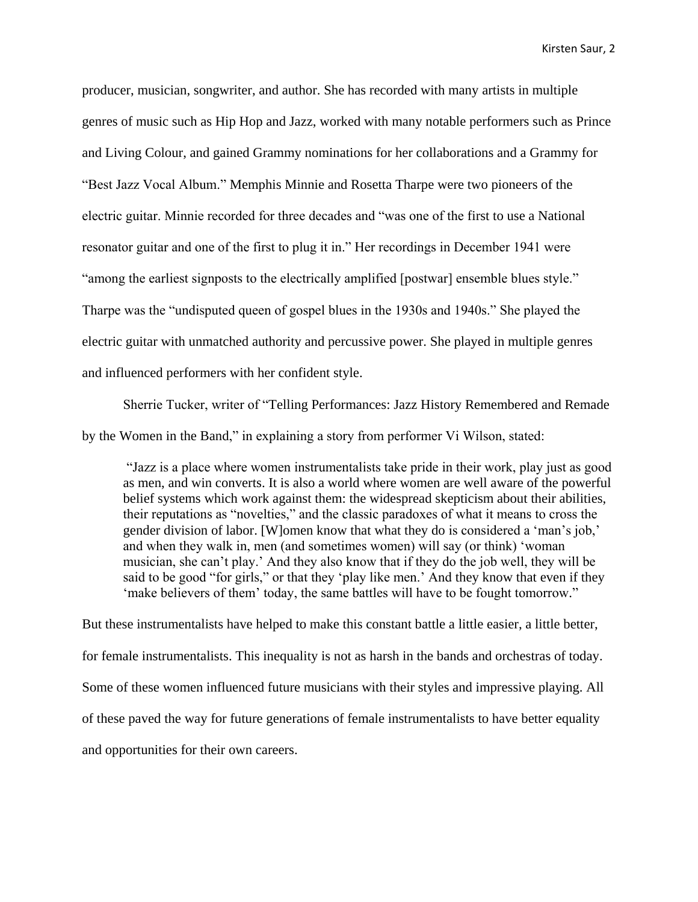producer, musician, songwriter, and author. She has recorded with many artists in multiple genres of music such as Hip Hop and Jazz, worked with many notable performers such as Prince and Living Colour, and gained Grammy nominations for her collaborations and a Grammy for "Best Jazz Vocal Album." Memphis Minnie and Rosetta Tharpe were two pioneers of the electric guitar. Minnie recorded for three decades and "was one of the first to use a National resonator guitar and one of the first to plug it in." Her recordings in December 1941 were "among the earliest signposts to the electrically amplified [postwar] ensemble blues style." Tharpe was the "undisputed queen of gospel blues in the 1930s and 1940s." She played the electric guitar with unmatched authority and percussive power. She played in multiple genres and influenced performers with her confident style.

Sherrie Tucker, writer of "Telling Performances: Jazz History Remembered and Remade by the Women in the Band," in explaining a story from performer Vi Wilson, stated:

"Jazz is a place where women instrumentalists take pride in their work, play just as good as men, and win converts. It is also a world where women are well aware of the powerful belief systems which work against them: the widespread skepticism about their abilities, their reputations as "novelties," and the classic paradoxes of what it means to cross the gender division of labor. [W]omen know that what they do is considered a 'man's job,' and when they walk in, men (and sometimes women) will say (or think) 'woman musician, she can't play.' And they also know that if they do the job well, they will be said to be good "for girls," or that they 'play like men.' And they know that even if they 'make believers of them' today, the same battles will have to be fought tomorrow."

But these instrumentalists have helped to make this constant battle a little easier, a little better, for female instrumentalists. This inequality is not as harsh in the bands and orchestras of today. Some of these women influenced future musicians with their styles and impressive playing. All of these paved the way for future generations of female instrumentalists to have better equality and opportunities for their own careers.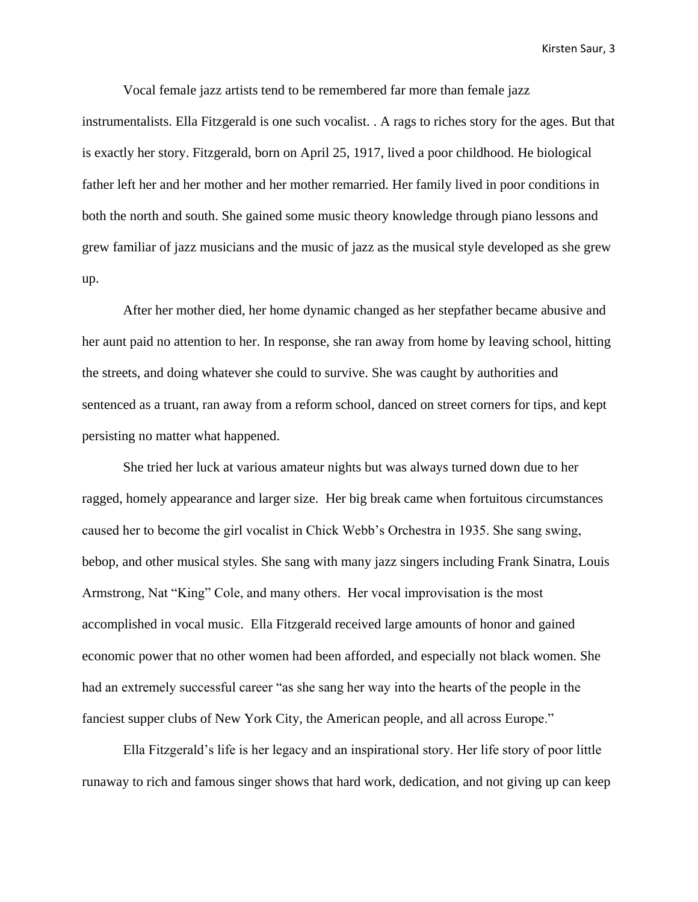Vocal female jazz artists tend to be remembered far more than female jazz instrumentalists. Ella Fitzgerald is one such vocalist. . A rags to riches story for the ages. But that is exactly her story. Fitzgerald, born on April 25, 1917, lived a poor childhood. He biological father left her and her mother and her mother remarried. Her family lived in poor conditions in both the north and south. She gained some music theory knowledge through piano lessons and grew familiar of jazz musicians and the music of jazz as the musical style developed as she grew up.

After her mother died, her home dynamic changed as her stepfather became abusive and her aunt paid no attention to her. In response, she ran away from home by leaving school, hitting the streets, and doing whatever she could to survive. She was caught by authorities and sentenced as a truant, ran away from a reform school, danced on street corners for tips, and kept persisting no matter what happened.

She tried her luck at various amateur nights but was always turned down due to her ragged, homely appearance and larger size. Her big break came when fortuitous circumstances caused her to become the girl vocalist in Chick Webb's Orchestra in 1935. She sang swing, bebop, and other musical styles. She sang with many jazz singers including Frank Sinatra, Louis Armstrong, Nat "King" Cole, and many others. Her vocal improvisation is the most accomplished in vocal music. Ella Fitzgerald received large amounts of honor and gained economic power that no other women had been afforded, and especially not black women. She had an extremely successful career "as she sang her way into the hearts of the people in the fanciest supper clubs of New York City, the American people, and all across Europe."

Ella Fitzgerald's life is her legacy and an inspirational story. Her life story of poor little runaway to rich and famous singer shows that hard work, dedication, and not giving up can keep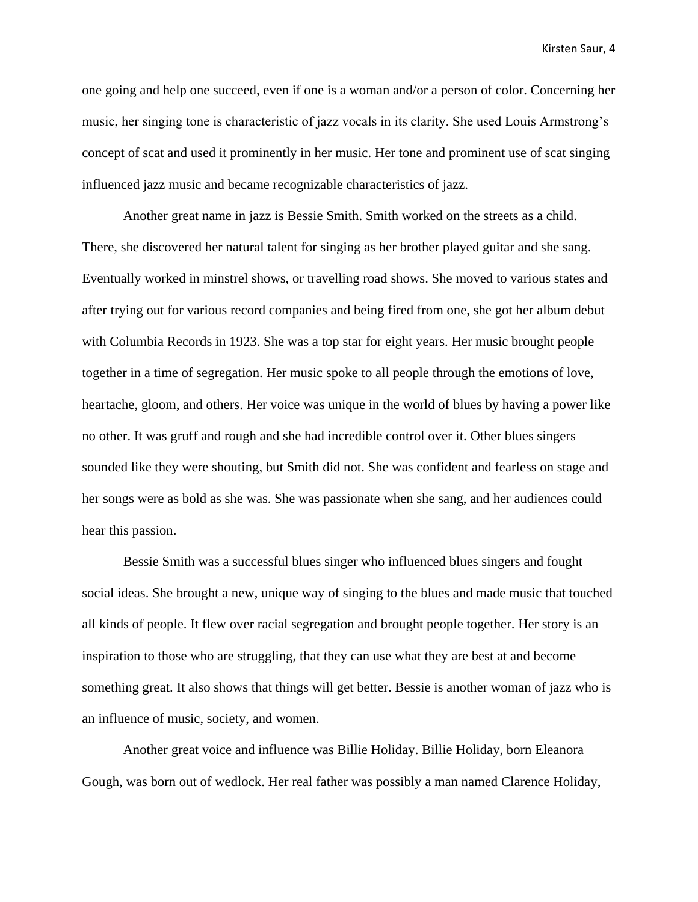one going and help one succeed, even if one is a woman and/or a person of color. Concerning her music, her singing tone is characteristic of jazz vocals in its clarity. She used Louis Armstrong's concept of scat and used it prominently in her music. Her tone and prominent use of scat singing influenced jazz music and became recognizable characteristics of jazz.

Another great name in jazz is Bessie Smith. Smith worked on the streets as a child. There, she discovered her natural talent for singing as her brother played guitar and she sang. Eventually worked in minstrel shows, or travelling road shows. She moved to various states and after trying out for various record companies and being fired from one, she got her album debut with Columbia Records in 1923. She was a top star for eight years. Her music brought people together in a time of segregation. Her music spoke to all people through the emotions of love, heartache, gloom, and others. Her voice was unique in the world of blues by having a power like no other. It was gruff and rough and she had incredible control over it. Other blues singers sounded like they were shouting, but Smith did not. She was confident and fearless on stage and her songs were as bold as she was. She was passionate when she sang, and her audiences could hear this passion.

Bessie Smith was a successful blues singer who influenced blues singers and fought social ideas. She brought a new, unique way of singing to the blues and made music that touched all kinds of people. It flew over racial segregation and brought people together. Her story is an inspiration to those who are struggling, that they can use what they are best at and become something great. It also shows that things will get better. Bessie is another woman of jazz who is an influence of music, society, and women.

Another great voice and influence was Billie Holiday. Billie Holiday, born Eleanora Gough, was born out of wedlock. Her real father was possibly a man named Clarence Holiday,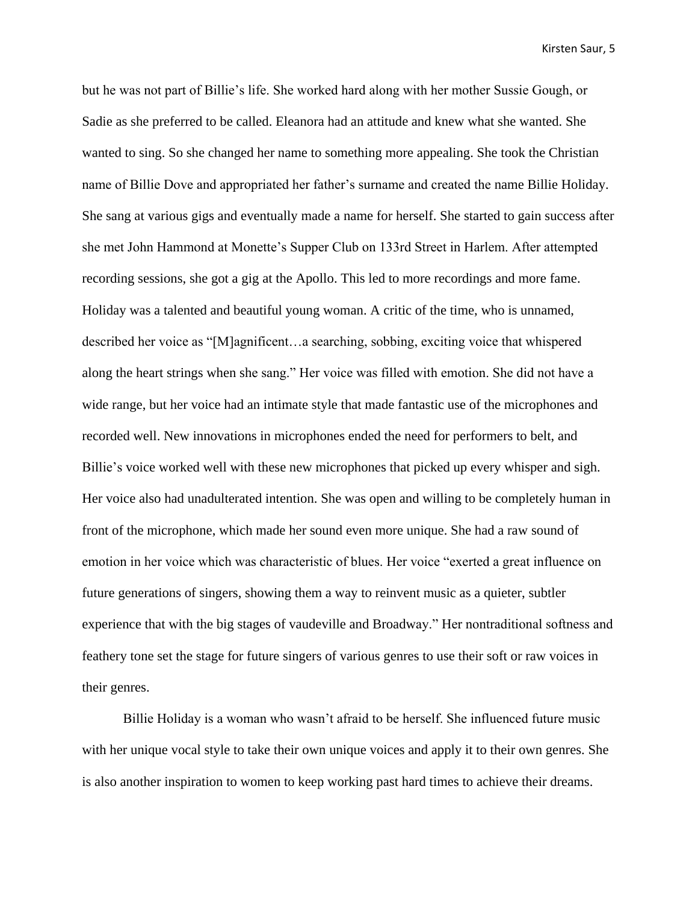but he was not part of Billie's life. She worked hard along with her mother Sussie Gough, or Sadie as she preferred to be called. Eleanora had an attitude and knew what she wanted. She wanted to sing. So she changed her name to something more appealing. She took the Christian name of Billie Dove and appropriated her father's surname and created the name Billie Holiday. She sang at various gigs and eventually made a name for herself. She started to gain success after she met John Hammond at Monette's Supper Club on 133rd Street in Harlem. After attempted recording sessions, she got a gig at the Apollo. This led to more recordings and more fame. Holiday was a talented and beautiful young woman. A critic of the time, who is unnamed, described her voice as "[M]agnificent…a searching, sobbing, exciting voice that whispered along the heart strings when she sang." Her voice was filled with emotion. She did not have a wide range, but her voice had an intimate style that made fantastic use of the microphones and recorded well. New innovations in microphones ended the need for performers to belt, and Billie's voice worked well with these new microphones that picked up every whisper and sigh. Her voice also had unadulterated intention. She was open and willing to be completely human in front of the microphone, which made her sound even more unique. She had a raw sound of emotion in her voice which was characteristic of blues. Her voice "exerted a great influence on future generations of singers, showing them a way to reinvent music as a quieter, subtler experience that with the big stages of vaudeville and Broadway." Her nontraditional softness and feathery tone set the stage for future singers of various genres to use their soft or raw voices in their genres.

Billie Holiday is a woman who wasn't afraid to be herself. She influenced future music with her unique vocal style to take their own unique voices and apply it to their own genres. She is also another inspiration to women to keep working past hard times to achieve their dreams.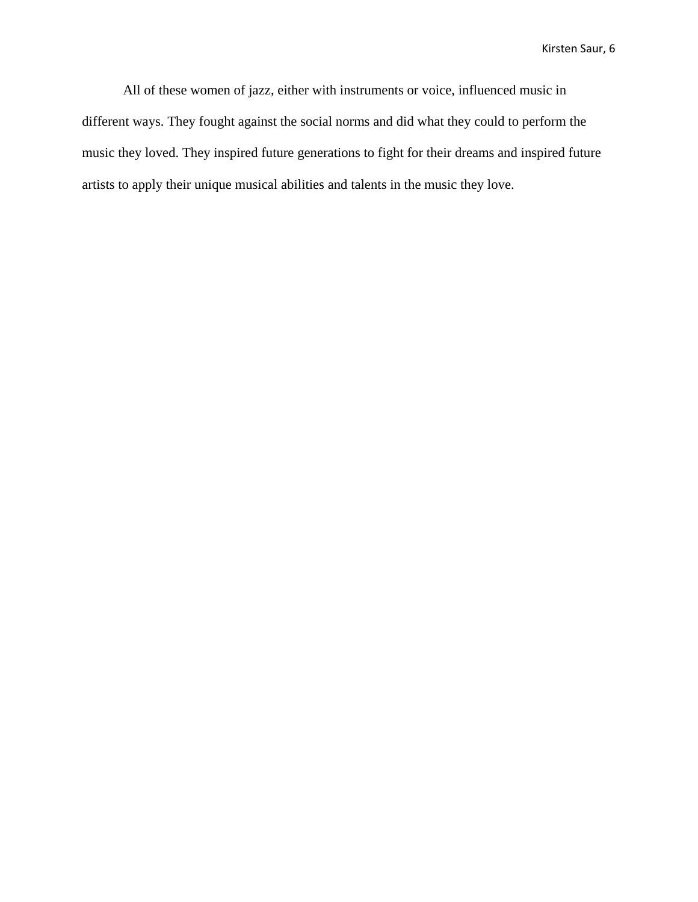All of these women of jazz, either with instruments or voice, influenced music in different ways. They fought against the social norms and did what they could to perform the music they loved. They inspired future generations to fight for their dreams and inspired future artists to apply their unique musical abilities and talents in the music they love.